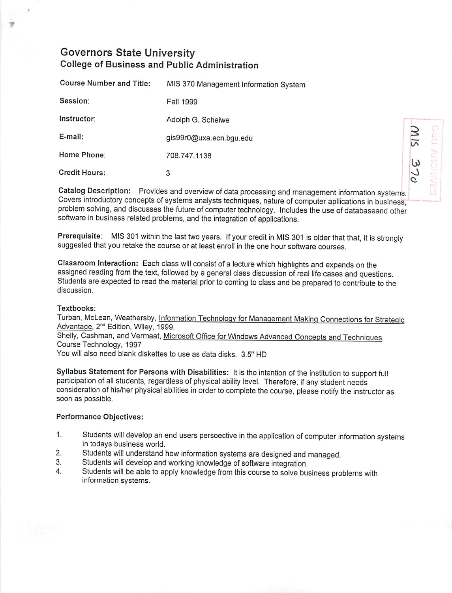# Governors State University *College of Business and Public Administration*

| <b>Course Number and Title:</b> | MIS 370 Management Information System |                |
|---------------------------------|---------------------------------------|----------------|
| Session:                        | <b>Fall 1999</b>                      |                |
| Instructor:                     | Adolph G. Scheiwe                     |                |
| E-mail:                         | gis99r0@uxa.ecn.bgu.edu               | $\overline{5}$ |
| Home Phone:                     | 708.747.1138                          | ن)             |
| <b>Credit Hours:</b>            | 3                                     |                |

»

Catalog Description: Provides and overview of data processing and management information systems. Covers introductory concepts of systems analysts techniques, nature of computer apllications in business, problem solving, and discusses the future of computer technology. Includes the use of databaseand other software in business related problems, and the integration of applications.

Prerequisite: MIS 301 within the last two years. If your credit in MIS 301 is older that that, it is strongly suggested that you retake the course or at least enroll in the one hour software courses.

Classroom Interaction: Each class will consist of a lecture which highlights and expands on the assigned reading from the text, followed by a general class discussion ofreal life cases and questions. Students are expected to read the material prior to coming to class and be prepared to contribute to the discussion.

# Textbooks:

Turban, McLean, Weathersby, Information Technology for Management Making Connections for Strategic Advantage, 2<sup>nd</sup> Edition, Wiley, 1999. Shelly, Cashman, and Vermaat, Microsoft Office for Windows Advanced Concepts and Techniques, Course Technology, 1997 You will also need blank diskettes to use as data disks. 3.5" HD

Syllabus Statement for Persons with Disabilities: It is the intention of the institution to support full participation of all students, regardless of physical ability level. Therefore, if any student needs consideration of his/her physical abilities in order to complete the course, please notify the instructor as soon as possible.

# Performance Objectives:

- 1. Students will develop an end users persoective in the application of computer information systems in todays business world.
- 2. Students will understand how information systems are designed and managed.<br>3. Students will develop and working knowledge of software integration
- 3. Students will develop and working knowledge of software integration.<br>4. Students will be able to apply knowledge from this course to solve but
- Students will be able to apply knowledge from this course to solve business problems with information systems.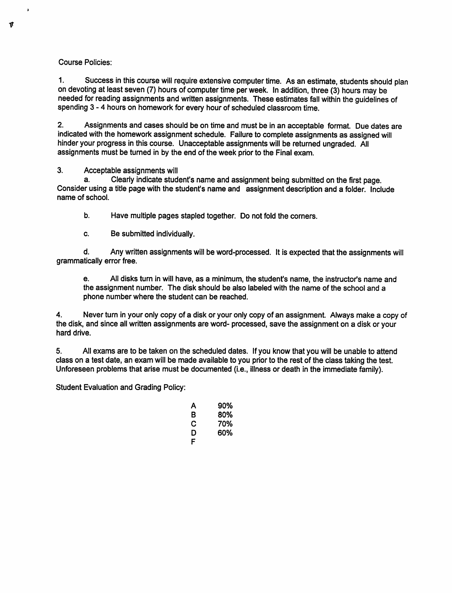### *Course Policies:*

*1. Success in this coursewill require extensivecomputertime. As an estimate, studentsshould plan on devoting at leastseven (7) hours of computer time perweek. In addition, three (3) hours may be needed for reading assignments and written assignments. These estimates fall within the guidelines of spending 3-4 hours on homework for every hour of scheduled classroom time.*

*2. Assignments and cases should be on time and must be in an acceptable format. Due dates are indicated with the homework assignment schedule. Failure to complete assignments as assigned will hinderyour progress inthis course. Unacceptable assignments will be returned ungraded. All assignments must be turned in by the end of the week priorto the Final exam.*

### *3. Acceptable assignments will*

*a. Clearly indicate student's name and assignment being submitted on the first page. Consider using a title page with the student's name and assignment description and a folder. Include name of school.*

*b. Have multiple pages stapled together. Do not fold the corners.*

*c. Be submitted individually.*

*d. Any written assignments will be word-processed. It is expected that the assignments will grammatically error free.*

*e. All disks turn in will have, as a minimum, the student's name, the instructor's name and the assignment number. The disk should be also labeled with the name of the school and a phone number where the student can be reached.*

*4. Never turn in your only copy of a disk or your only copy of an assignment. Always make a copy of the disk, and since all written assignments are word- processed, save the assignment on a disk or your hard drive.*

*5. All exams are to be taken on the scheduled dates. If you know that you will be unable to attend class on a test date, an exam will be made available to you prior to the rest of the class taking the test. Unforeseen problems that arise must be documented (i.e., illness or death in the immediate family).*

*Student Evaluation and Grading Policy:*

| А | 90% |
|---|-----|
| R | 80% |
| С | 70% |
| D | 60% |
| F |     |

 $\mathbf{r}$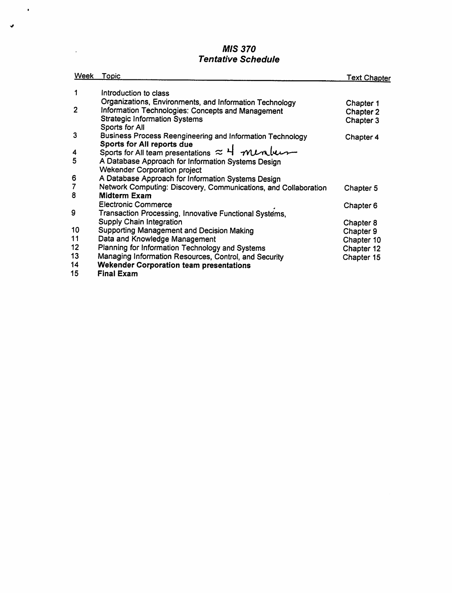# *MIS 370 Tentative Schedule*

 $\bullet$ 

 $\ddot{\phantom{a}}$ 

مد

| <b>Week</b>    | Topic                                                           | <u>Text Chapter</u> |
|----------------|-----------------------------------------------------------------|---------------------|
| 1              |                                                                 |                     |
|                | Introduction to class                                           |                     |
|                | Organizations, Environments, and Information Technology         | Chapter 1           |
| $\overline{2}$ | Information Technologies: Concepts and Management               | Chapter 2           |
|                | <b>Strategic Information Systems</b>                            | Chapter 3           |
|                | Sports for All                                                  |                     |
| 3              | Business Process Reengineering and Information Technology       | Chapter 4           |
|                | Sports for All reports due                                      |                     |
| 4              | Sports for All team presentations $\approx$ 4 mentuces          |                     |
| 5              | A Database Approach for Information Systems Design              |                     |
|                | <b>Wekender Corporation project</b>                             |                     |
| 6              | A Database Approach for Information Systems Design              |                     |
| $\overline{7}$ | Network Computing: Discovery, Communications, and Collaboration | Chapter 5           |
| 8              | <b>Midterm Exam</b>                                             |                     |
|                | <b>Electronic Commerce</b>                                      | Chapter 6           |
| 9              | Transaction Processing, Innovative Functional Systems,          |                     |
|                | Supply Chain Integration                                        | Chapter 8           |
| 10             | Supporting Management and Decision Making                       | Chapter 9           |
| 11             | Data and Knowledge Management                                   | Chapter 10          |
| 12             | Planning for Information Technology and Systems                 | Chapter 12          |
| 13             | Managing Information Resources, Control, and Security           | Chapter 15          |
| 14             | <b>Wekender Corporation team presentations</b>                  |                     |
| 15             | <b>Final Exam</b>                                               |                     |
|                |                                                                 |                     |